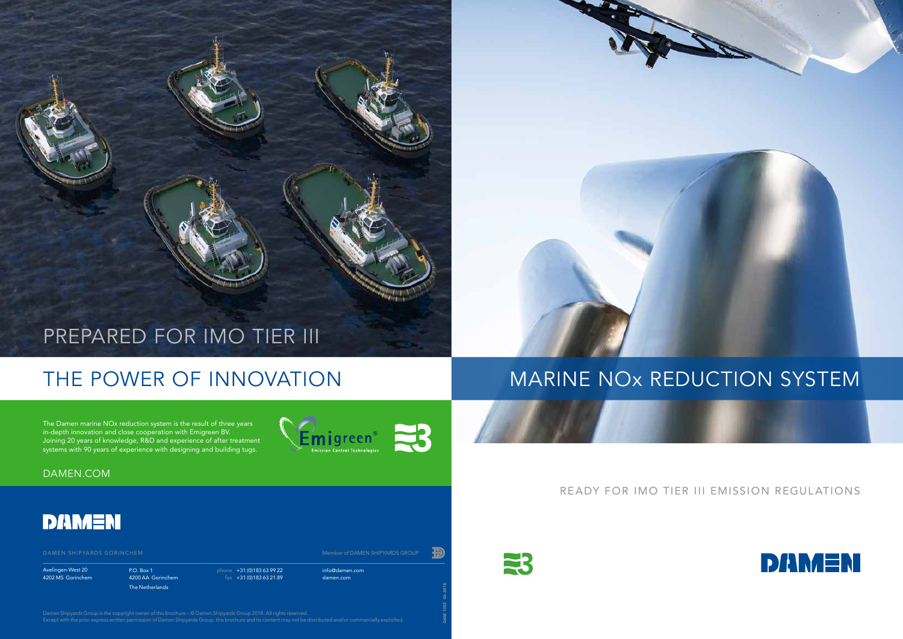info@damen.com damen.com



P.O. Box 1 4200 AA Gorinchem The Netherlands

phone +31 (0)183 63 99 22  $\frac{1}{10}$  fax +31 (0) 183 63 21 89

Avelingen-West 20 4202 MS Gorinchem

### READY FOR IMO TIER III EMISSION REGULATIONS



# THE POWER OF INNOVATION

## PREPARED FOR IMO TIER III

The Damen marine NOx reduction system is the result of three years in-depth innovation and close cooperation with Emigreen BV. Joining 20 years of knowledge, R&D and experience of after treatment systems with 90 years of experience with designing and building tugs.



### DAMEN.COM



DAM 1052 06-2018

33

## MARINE NOx REDUCTION SYSTEM

Damen Shipyards Group is the copyright owner of this brochure – © Damen Shipyards Group 2018. All rights reserved. Except with the prior express written permission of Damen Shipyards Group, this brochure and its content may not be distributed and/or commercially exploited.